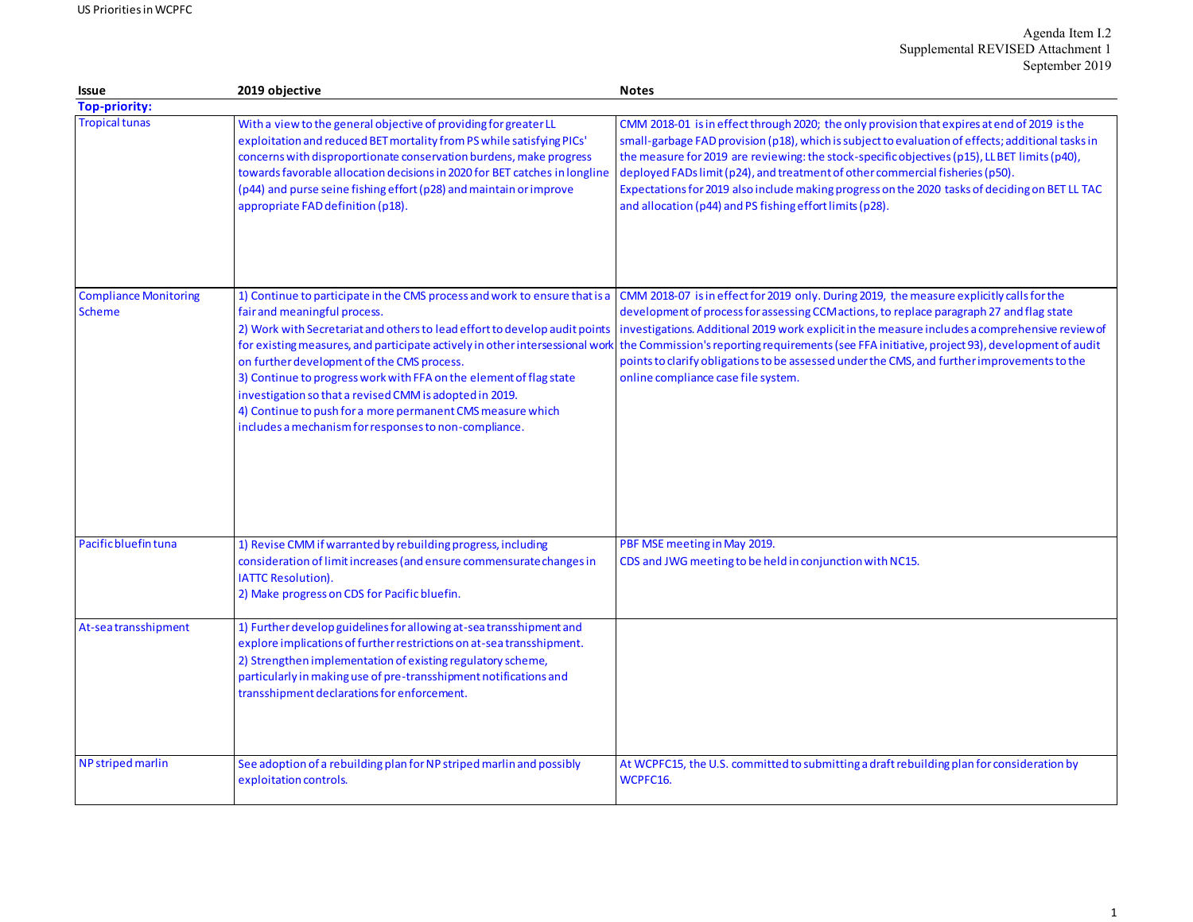| <b>Issue</b>                                  | 2019 objective                                                                                                                                                                                                                                                                                                                                                                                                                                                                                 | <b>Notes</b>                                                                                                                                                                                                                                                                                                                                                                                                                                                                                                                                                                                                  |
|-----------------------------------------------|------------------------------------------------------------------------------------------------------------------------------------------------------------------------------------------------------------------------------------------------------------------------------------------------------------------------------------------------------------------------------------------------------------------------------------------------------------------------------------------------|---------------------------------------------------------------------------------------------------------------------------------------------------------------------------------------------------------------------------------------------------------------------------------------------------------------------------------------------------------------------------------------------------------------------------------------------------------------------------------------------------------------------------------------------------------------------------------------------------------------|
| <b>Top-priority:</b>                          |                                                                                                                                                                                                                                                                                                                                                                                                                                                                                                |                                                                                                                                                                                                                                                                                                                                                                                                                                                                                                                                                                                                               |
| <b>Tropical tunas</b>                         | With a view to the general objective of providing for greater LL<br>exploitation and reduced BET mortality from PS while satisfying PICs'<br>concerns with disproportionate conservation burdens, make progress<br>towards favorable allocation decisions in 2020 for BET catches in longline<br>(p44) and purse seine fishing effort (p28) and maintain or improve<br>appropriate FAD definition (p18).                                                                                       | CMM 2018-01 is in effect through 2020; the only provision that expires at end of 2019 is the<br>small-garbage FAD provision (p18), which is subject to evaluation of effects; additional tasks in<br>the measure for 2019 are reviewing: the stock-specific objectives (p15), LLBET limits (p40),<br>deployed FADs limit (p24), and treatment of other commercial fisheries (p50).<br>Expectations for 2019 also include making progress on the 2020 tasks of deciding on BET LL TAC<br>and allocation (p44) and PS fishing effort limits (p28).                                                              |
| <b>Compliance Monitoring</b><br><b>Scheme</b> | 1) Continue to participate in the CMS process and work to ensure that is a<br>fair and meaningful process.<br>2) Work with Secretariat and others to lead effort to develop audit points<br>on further development of the CMS process.<br>3) Continue to progress work with FFA on the element of flag state<br>investigation so that a revised CMM is adopted in 2019.<br>4) Continue to push for a more permanent CMS measure which<br>includes a mechanism for responses to non-compliance. | CMM 2018-07 is in effect for 2019 only. During 2019, the measure explicitly calls for the<br>development of process for assessing CCM actions, to replace paragraph 27 and flag state<br>investigations. Additional 2019 work explicit in the measure includes a comprehensive review of<br>for existing measures, and participate actively in other intersessional work the Commission's reporting requirements (see FFA initiative, project 93), development of audit<br>points to clarify obligations to be assessed under the CMS, and further improvements to the<br>online compliance case file system. |
| Pacific bluefin tuna                          | 1) Revise CMM if warranted by rebuilding progress, including<br>consideration of limit increases (and ensure commensurate changes in<br><b>IATTC Resolution).</b><br>2) Make progress on CDS for Pacific bluefin.                                                                                                                                                                                                                                                                              | PBF MSE meeting in May 2019.<br>CDS and JWG meeting to be held in conjunction with NC15.                                                                                                                                                                                                                                                                                                                                                                                                                                                                                                                      |
| At-seatransshipment                           | 1) Further develop guidelines for allowing at-sea transshipment and<br>explore implications of further restrictions on at-sea transshipment.<br>2) Strengthen implementation of existing regulatory scheme,<br>particularly in making use of pre-transshipment notifications and<br>transshipment declarations for enforcement.                                                                                                                                                                |                                                                                                                                                                                                                                                                                                                                                                                                                                                                                                                                                                                                               |
| NP striped marlin                             | See adoption of a rebuilding plan for NP striped marlin and possibly<br>exploitation controls.                                                                                                                                                                                                                                                                                                                                                                                                 | At WCPFC15, the U.S. committed to submitting a draft rebuilding plan for consideration by<br>WCPFC16.                                                                                                                                                                                                                                                                                                                                                                                                                                                                                                         |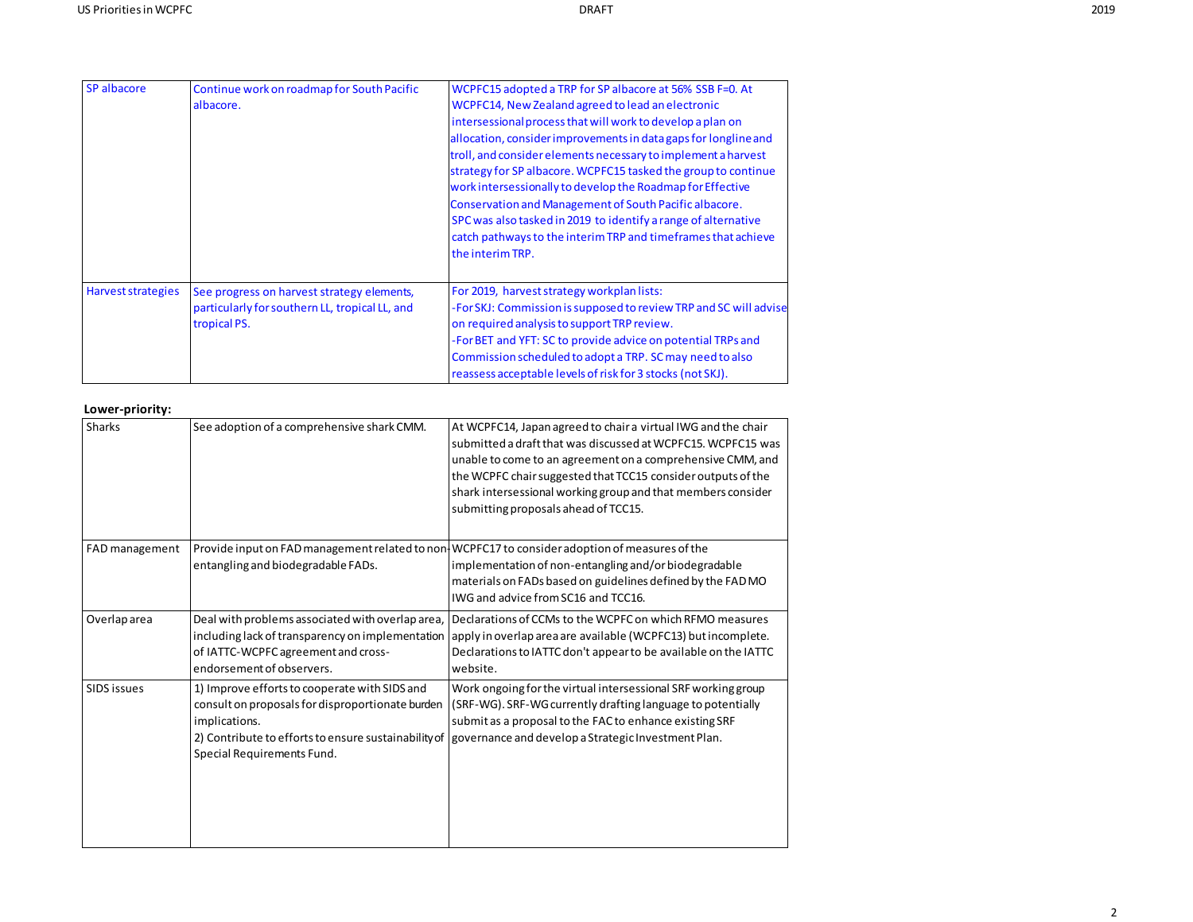| SP albacore        | Continue work on roadmap for South Pacific     | WCPFC15 adopted a TRP for SP albacore at 56% SSB F=0. At                                                                     |
|--------------------|------------------------------------------------|------------------------------------------------------------------------------------------------------------------------------|
|                    | albacore.                                      | WCPFC14, New Zealand agreed to lead an electronic                                                                            |
|                    |                                                | intersessional process that will work to develop a plan on                                                                   |
|                    |                                                | allocation, consider improvements in data gaps for longline and                                                              |
|                    |                                                | troll, and consider elements necessary to implement a harvest                                                                |
|                    |                                                | strategy for SP albacore. WCPFC15 tasked the group to continue<br>work intersessionally to develop the Roadmap for Effective |
|                    |                                                | Conservation and Management of South Pacific albacore.                                                                       |
|                    |                                                | SPC was also tasked in 2019 to identify a range of alternative                                                               |
|                    |                                                | catch pathways to the interim TRP and timeframes that achieve                                                                |
|                    |                                                | the interim TRP.                                                                                                             |
|                    |                                                |                                                                                                                              |
| Harvest strategies | See progress on harvest strategy elements,     | For 2019, harvest strategy workplan lists:                                                                                   |
|                    | particularly for southern LL, tropical LL, and | -For SKJ: Commission is supposed to review TRP and SC will advise                                                            |
|                    | tropical PS.                                   | on required analysis to support TRP review.                                                                                  |
|                    |                                                | -For BET and YFT: SC to provide advice on potential TRPs and                                                                 |
|                    |                                                | Commission scheduled to adopt a TRP. SC may need to also                                                                     |
|                    |                                                | reassess acceptable levels of risk for 3 stocks (not SKJ).                                                                   |

## **Lower-priority:**

| <b>Sharks</b>      | See adoption of a comprehensive shark CMM.                                                                                                                                                               | At WCPFC14, Japan agreed to chair a virtual IWG and the chair<br>submitted a draft that was discussed at WCPFC15. WCPFC15 was<br>unable to come to an agreement on a comprehensive CMM, and<br>the WCPFC chair suggested that TCC15 consider outputs of the<br>shark intersessional working group and that members consider<br>submitting proposals ahead of TCC15. |
|--------------------|----------------------------------------------------------------------------------------------------------------------------------------------------------------------------------------------------------|---------------------------------------------------------------------------------------------------------------------------------------------------------------------------------------------------------------------------------------------------------------------------------------------------------------------------------------------------------------------|
| FAD management     | entangling and biodegradable FADs.                                                                                                                                                                       | Provide input on FAD management related to non-WCPFC17 to consider adoption of measures of the<br>implementation of non-entangling and/or biodegradable<br>materials on FADs based on guidelines defined by the FAD MO<br>IWG and advice from SC16 and TCC16.                                                                                                       |
| Overlap area       | Deal with problems associated with overlap area,<br>including lack of transparency on implementation<br>of IATTC-WCPFC agreement and cross-<br>endorsement of observers.                                 | Declarations of CCMs to the WCPFC on which RFMO measures<br>apply in overlap area are available (WCPFC13) but incomplete.<br>Declarations to IATTC don't appear to be available on the IATTC<br>website.                                                                                                                                                            |
| <b>SIDS issues</b> | 1) Improve efforts to cooperate with SIDS and<br>consult on proposals for disproportionate burden<br>implications.<br>2) Contribute to efforts to ensure sustainability of<br>Special Requirements Fund. | Work ongoing for the virtual intersessional SRF working group<br>(SRF-WG). SRF-WG currently drafting language to potentially<br>submit as a proposal to the FAC to enhance existing SRF<br>governance and develop a Strategic Investment Plan.                                                                                                                      |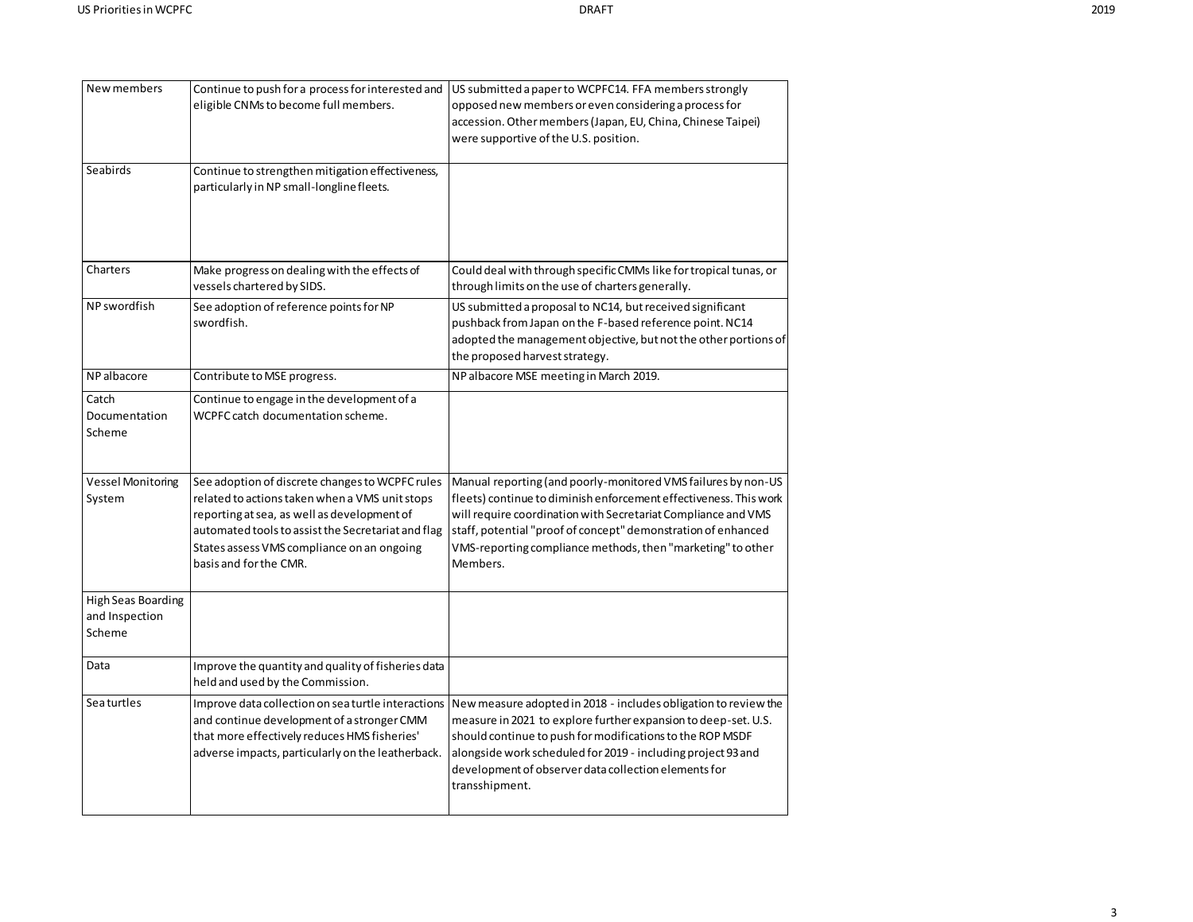| New members                                           | Continue to push for a process for interested and<br>eligible CNMs to become full members.                                                                                                                                                                                     | US submitted a paper to WCPFC14. FFA members strongly<br>opposed new members or even considering a process for<br>accession. Other members (Japan, EU, China, Chinese Taipei)<br>were supportive of the U.S. position.                                                                                                                          |
|-------------------------------------------------------|--------------------------------------------------------------------------------------------------------------------------------------------------------------------------------------------------------------------------------------------------------------------------------|-------------------------------------------------------------------------------------------------------------------------------------------------------------------------------------------------------------------------------------------------------------------------------------------------------------------------------------------------|
| Seabirds                                              | Continue to strengthen mitigation effectiveness,<br>particularly in NP small-longline fleets.                                                                                                                                                                                  |                                                                                                                                                                                                                                                                                                                                                 |
| Charters                                              | Make progress on dealing with the effects of<br>vessels chartered by SIDS.                                                                                                                                                                                                     | Could deal with through specific CMMs like for tropical tunas, or<br>through limits on the use of charters generally.                                                                                                                                                                                                                           |
| NP swordfish                                          | See adoption of reference points for NP<br>swordfish.                                                                                                                                                                                                                          | US submitted a proposal to NC14, but received significant<br>pushback from Japan on the F-based reference point. NC14<br>adopted the management objective, but not the other portions of<br>the proposed harvest strategy.                                                                                                                      |
| NP albacore                                           | Contribute to MSE progress.                                                                                                                                                                                                                                                    | NP albacore MSE meeting in March 2019.                                                                                                                                                                                                                                                                                                          |
| Catch<br>Documentation<br>Scheme                      | Continue to engage in the development of a<br>WCPFC catch documentation scheme.                                                                                                                                                                                                |                                                                                                                                                                                                                                                                                                                                                 |
| <b>Vessel Monitoring</b><br>System                    | See adoption of discrete changes to WCPFC rules<br>related to actions taken when a VMS unit stops<br>reporting at sea, as well as development of<br>automated tools to assist the Secretariat and flag<br>States assess VMS compliance on an ongoing<br>basis and for the CMR. | Manual reporting (and poorly-monitored VMS failures by non-US<br>fleets) continue to diminish enforcement effectiveness. This work<br>will require coordination with Secretariat Compliance and VMS<br>staff, potential "proof of concept" demonstration of enhanced<br>VMS-reporting compliance methods, then "marketing" to other<br>Members. |
| <b>High Seas Boarding</b><br>and Inspection<br>Scheme |                                                                                                                                                                                                                                                                                |                                                                                                                                                                                                                                                                                                                                                 |
| Data                                                  | Improve the quantity and quality of fisheries data<br>held and used by the Commission.                                                                                                                                                                                         |                                                                                                                                                                                                                                                                                                                                                 |
| <b>Seaturtles</b>                                     | Improve data collection on sea turtle interactions<br>and continue development of a stronger CMM<br>that more effectively reduces HMS fisheries'<br>adverse impacts, particularly on the leatherback.                                                                          | New measure adopted in 2018 - includes obligation to review the<br>measure in 2021 to explore further expansion to deep-set. U.S.<br>should continue to push for modifications to the ROP MSDF<br>alongside work scheduled for 2019 - including project 93 and<br>development of observer data collection elements for<br>transshipment.        |